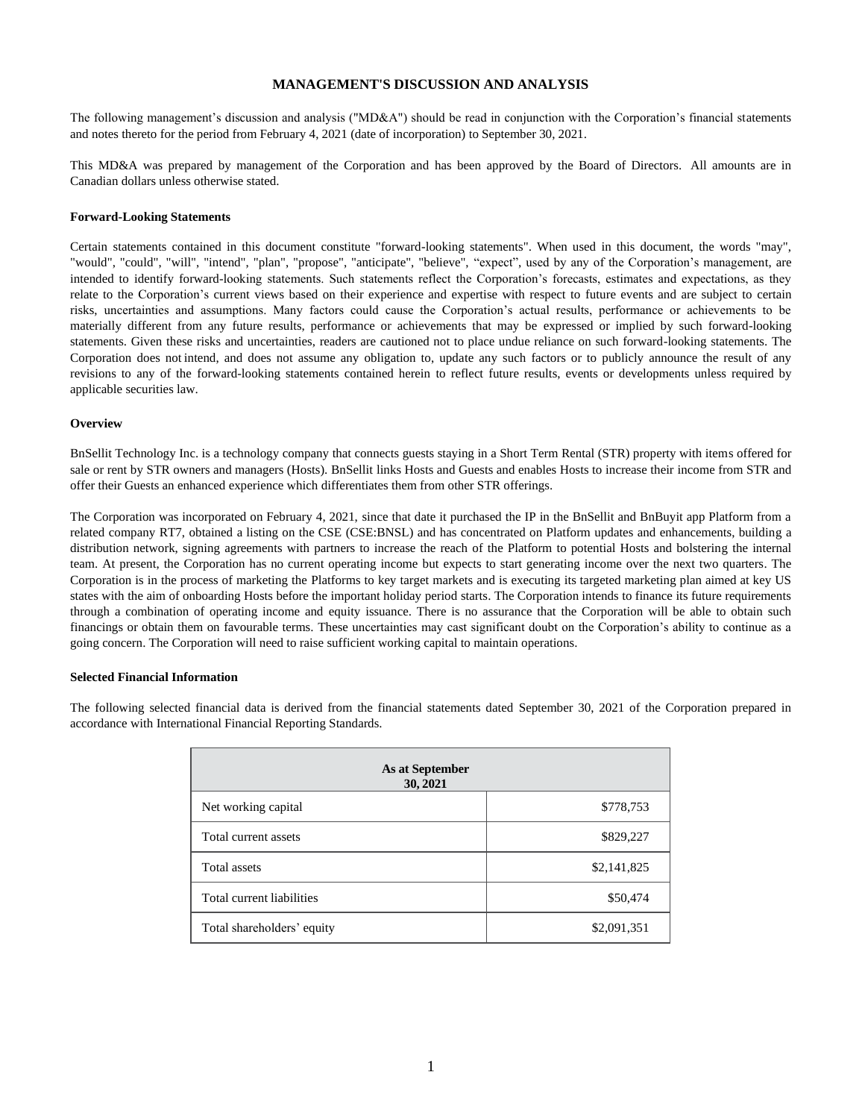## **MANAGEMENT'S DISCUSSION AND ANALYSIS**

The following management's discussion and analysis ("MD&A") should be read in conjunction with the Corporation's financial statements and notes thereto for the period from February 4, 2021 (date of incorporation) to September 30, 2021.

This MD&A was prepared by management of the Corporation and has been approved by the Board of Directors. All amounts are in Canadian dollars unless otherwise stated.

## **Forward-Looking Statements**

Certain statements contained in this document constitute "forward-looking statements". When used in this document, the words "may", "would", "could", "will", "intend", "plan", "propose", "anticipate", "believe", "expect", used by any of the Corporation's management, are intended to identify forward-looking statements. Such statements reflect the Corporation's forecasts, estimates and expectations, as they relate to the Corporation's current views based on their experience and expertise with respect to future events and are subject to certain risks, uncertainties and assumptions. Many factors could cause the Corporation's actual results, performance or achievements to be materially different from any future results, performance or achievements that may be expressed or implied by such forward-looking statements. Given these risks and uncertainties, readers are cautioned not to place undue reliance on such forward-looking statements. The Corporation does not intend, and does not assume any obligation to, update any such factors or to publicly announce the result of any revisions to any of the forward-looking statements contained herein to reflect future results, events or developments unless required by applicable securities law.

#### **Overview**

BnSellit Technology Inc. is a technology company that connects guests staying in a Short Term Rental (STR) property with items offered for sale or rent by STR owners and managers (Hosts). BnSellit links Hosts and Guests and enables Hosts to increase their income from STR and offer their Guests an enhanced experience which differentiates them from other STR offerings.

The Corporation was incorporated on February 4, 2021, since that date it purchased the IP in the BnSellit and BnBuyit app Platform from a related company RT7, obtained a listing on the CSE (CSE:BNSL) and has concentrated on Platform updates and enhancements, building a distribution network, signing agreements with partners to increase the reach of the Platform to potential Hosts and bolstering the internal team. At present, the Corporation has no current operating income but expects to start generating income over the next two quarters. The Corporation is in the process of marketing the Platforms to key target markets and is executing its targeted marketing plan aimed at key US states with the aim of onboarding Hosts before the important holiday period starts. The Corporation intends to finance its future requirements through a combination of operating income and equity issuance. There is no assurance that the Corporation will be able to obtain such financings or obtain them on favourable terms. These uncertainties may cast significant doubt on the Corporation's ability to continue as a going concern. The Corporation will need to raise sufficient working capital to maintain operations.

## **Selected Financial Information**

The following selected financial data is derived from the financial statements dated September 30, 2021 of the Corporation prepared in accordance with International Financial Reporting Standards.

| As at September<br>30, 2021 |             |
|-----------------------------|-------------|
| Net working capital         | \$778,753   |
| Total current assets        | \$829,227   |
| Total assets                | \$2,141,825 |
| Total current liabilities   | \$50,474    |
| Total shareholders' equity  | \$2,091,351 |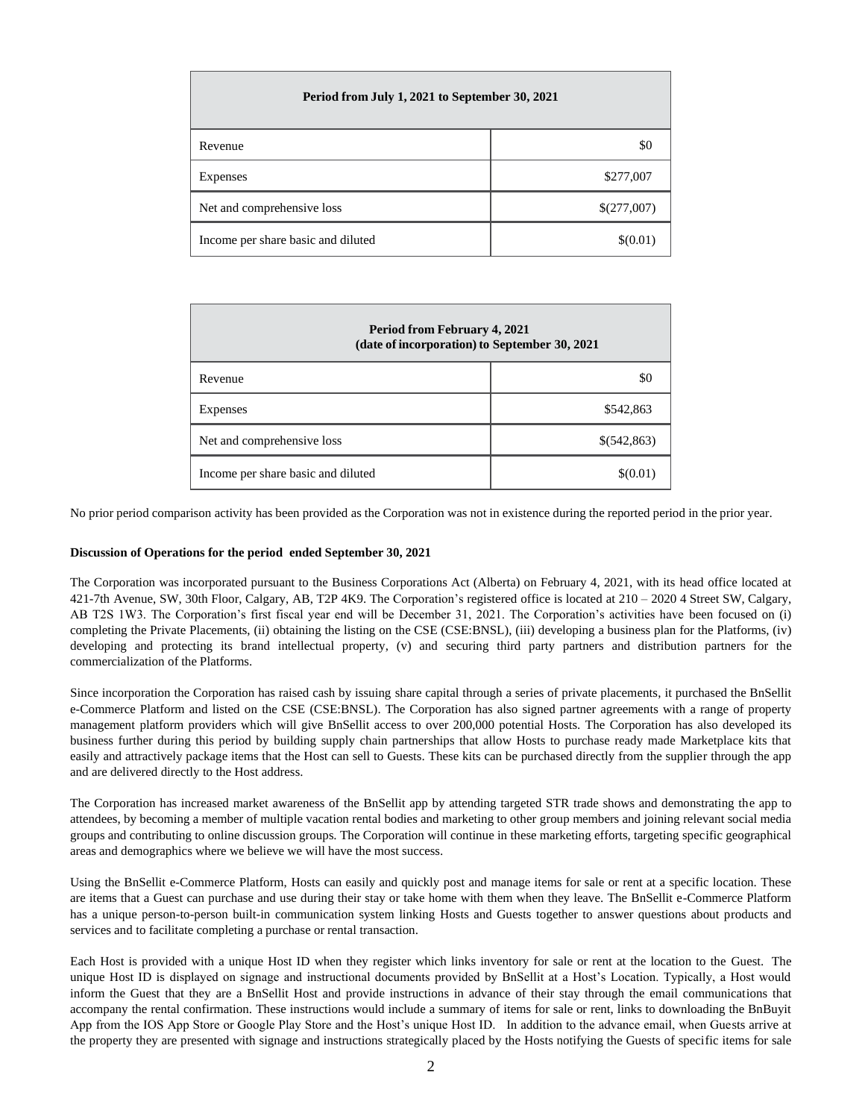| Period from July 1, 2021 to September 30, 2021 |             |  |
|------------------------------------------------|-------------|--|
| Revenue                                        | \$0         |  |
| Expenses                                       | \$277,007   |  |
| Net and comprehensive loss                     | \$(277,007) |  |
| Income per share basic and diluted             | \$(0.01)    |  |

| <b>Period from February 4, 2021</b><br>(date of incorporation) to September 30, 2021 |             |
|--------------------------------------------------------------------------------------|-------------|
| Revenue                                                                              | \$0         |
| Expenses                                                                             | \$542,863   |
| Net and comprehensive loss                                                           | \$(542,863) |
| Income per share basic and diluted                                                   | \$(0.01)    |

No prior period comparison activity has been provided as the Corporation was not in existence during the reported period in the prior year.

# **Discussion of Operations for the period ended September 30, 2021**

The Corporation was incorporated pursuant to the Business Corporations Act (Alberta) on February 4, 2021, with its head office located at 421-7th Avenue, SW, 30th Floor, Calgary, AB, T2P 4K9. The Corporation's registered office is located at 210 – 2020 4 Street SW, Calgary, AB T2S 1W3. The Corporation's first fiscal year end will be December 31, 2021. The Corporation's activities have been focused on (i) completing the Private Placements, (ii) obtaining the listing on the CSE (CSE:BNSL), (iii) developing a business plan for the Platforms, (iv) developing and protecting its brand intellectual property, (v) and securing third party partners and distribution partners for the commercialization of the Platforms.

Since incorporation the Corporation has raised cash by issuing share capital through a series of private placements, it purchased the BnSellit e-Commerce Platform and listed on the CSE (CSE:BNSL). The Corporation has also signed partner agreements with a range of property management platform providers which will give BnSellit access to over 200,000 potential Hosts. The Corporation has also developed its business further during this period by building supply chain partnerships that allow Hosts to purchase ready made Marketplace kits that easily and attractively package items that the Host can sell to Guests. These kits can be purchased directly from the supplier through the app and are delivered directly to the Host address.

The Corporation has increased market awareness of the BnSellit app by attending targeted STR trade shows and demonstrating the app to attendees, by becoming a member of multiple vacation rental bodies and marketing to other group members and joining relevant social media groups and contributing to online discussion groups. The Corporation will continue in these marketing efforts, targeting specific geographical areas and demographics where we believe we will have the most success.

Using the BnSellit e-Commerce Platform, Hosts can easily and quickly post and manage items for sale or rent at a specific location. These are items that a Guest can purchase and use during their stay or take home with them when they leave. The BnSellit e-Commerce Platform has a unique person-to-person built-in communication system linking Hosts and Guests together to answer questions about products and services and to facilitate completing a purchase or rental transaction.

Each Host is provided with a unique Host ID when they register which links inventory for sale or rent at the location to the Guest. The unique Host ID is displayed on signage and instructional documents provided by BnSellit at a Host's Location. Typically, a Host would inform the Guest that they are a BnSellit Host and provide instructions in advance of their stay through the email communications that accompany the rental confirmation. These instructions would include a summary of items for sale or rent, links to downloading the BnBuyit App from the IOS App Store or Google Play Store and the Host's unique Host ID. In addition to the advance email, when Guests arrive at the property they are presented with signage and instructions strategically placed by the Hosts notifying the Guests of specific items for sale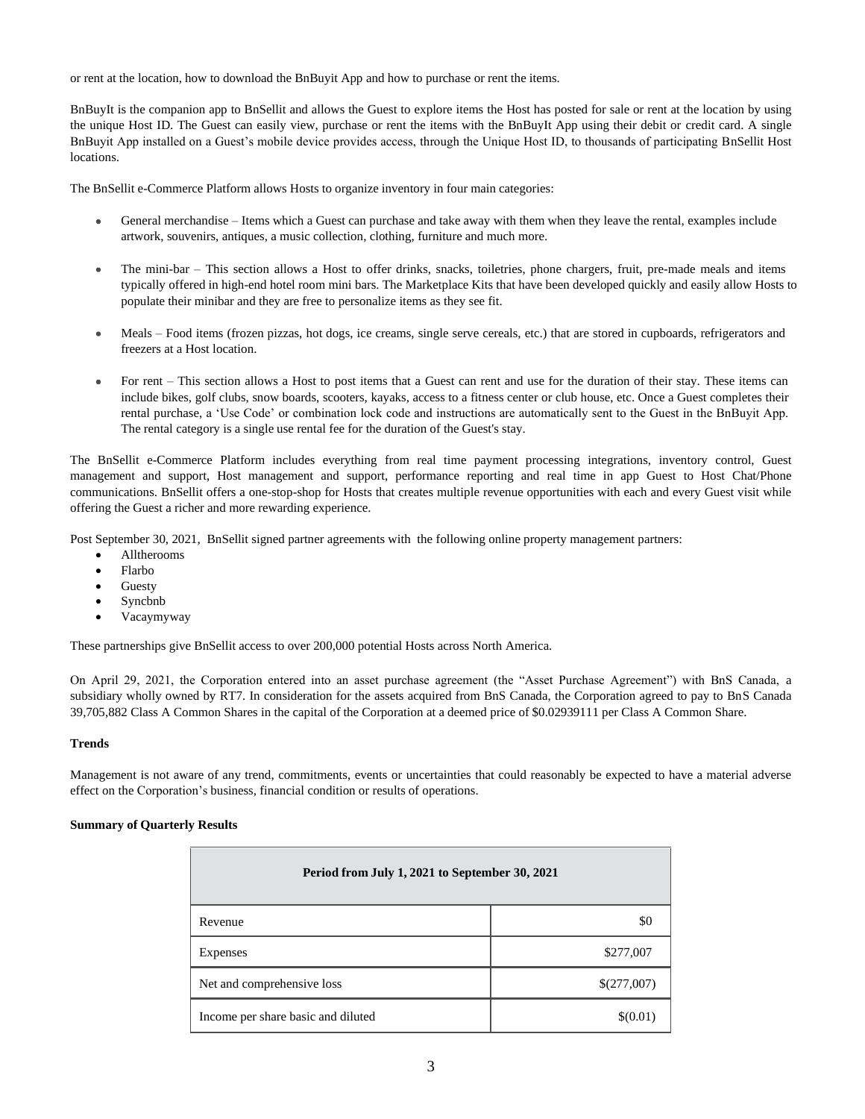or rent at the location, how to download the BnBuyit App and how to purchase or rent the items.

BnBuyIt is the companion app to BnSellit and allows the Guest to explore items the Host has posted for sale or rent at the location by using the unique Host ID. The Guest can easily view, purchase or rent the items with the BnBuyIt App using their debit or credit card. A single BnBuyit App installed on a Guest's mobile device provides access, through the Unique Host ID, to thousands of participating BnSellit Host locations.

The BnSellit e-Commerce Platform allows Hosts to organize inventory in four main categories:

- $\bullet$ General merchandise – Items which a Guest can purchase and take away with them when they leave the rental, examples include artwork, souvenirs, antiques, a music collection, clothing, furniture and much more.
- $\bullet$ The mini-bar – This section allows a Host to offer drinks, snacks, toiletries, phone chargers, fruit, pre-made meals and items typically offered in high-end hotel room mini bars. The Marketplace Kits that have been developed quickly and easily allow Hosts to populate their minibar and they are free to personalize items as they see fit.
- Meals Food items (frozen pizzas, hot dogs, ice creams, single serve cereals, etc.) that are stored in cupboards, refrigerators and  $\bullet$ freezers at a Host location.
- $\bullet$ For rent – This section allows a Host to post items that a Guest can rent and use for the duration of their stay. These items can include bikes, golf clubs, snow boards, scooters, kayaks, access to a fitness center or club house, etc. Once a Guest completes their rental purchase, a 'Use Code' or combination lock code and instructions are automatically sent to the Guest in the BnBuyit App. The rental category is a single use rental fee for the duration of the Guest's stay.

The BnSellit e-Commerce Platform includes everything from real time payment processing integrations, inventory control, Guest management and support, Host management and support, performance reporting and real time in app Guest to Host Chat/Phone communications. BnSellit offers a one-stop-shop for Hosts that creates multiple revenue opportunities with each and every Guest visit while offering the Guest a richer and more rewarding experience.

Post September 30, 2021, BnSellit signed partner agreements with the following online property management partners:

- Alltherooms
- Flarbo
- **Guesty**
- Syncbnb
- Vacaymyway

These partnerships give BnSellit access to over 200,000 potential Hosts across North America.

On April 29, 2021, the Corporation entered into an asset purchase agreement (the "Asset Purchase Agreement") with BnS Canada, a subsidiary wholly owned by RT7. In consideration for the assets acquired from BnS Canada, the Corporation agreed to pay to BnS Canada 39,705,882 Class A Common Shares in the capital of the Corporation at a deemed price of \$0.02939111 per Class A Common Share.

# **Trends**

Management is not aware of any trend, commitments, events or uncertainties that could reasonably be expected to have a material adverse effect on the Corporation's business, financial condition or results of operations.

# **Summary of Quarterly Results**

| Period from July 1, 2021 to September 30, 2021 |             |
|------------------------------------------------|-------------|
| Revenue                                        | \$0         |
| Expenses                                       | \$277,007   |
| Net and comprehensive loss                     | \$(277,007) |
| Income per share basic and diluted             | \$(0.01)    |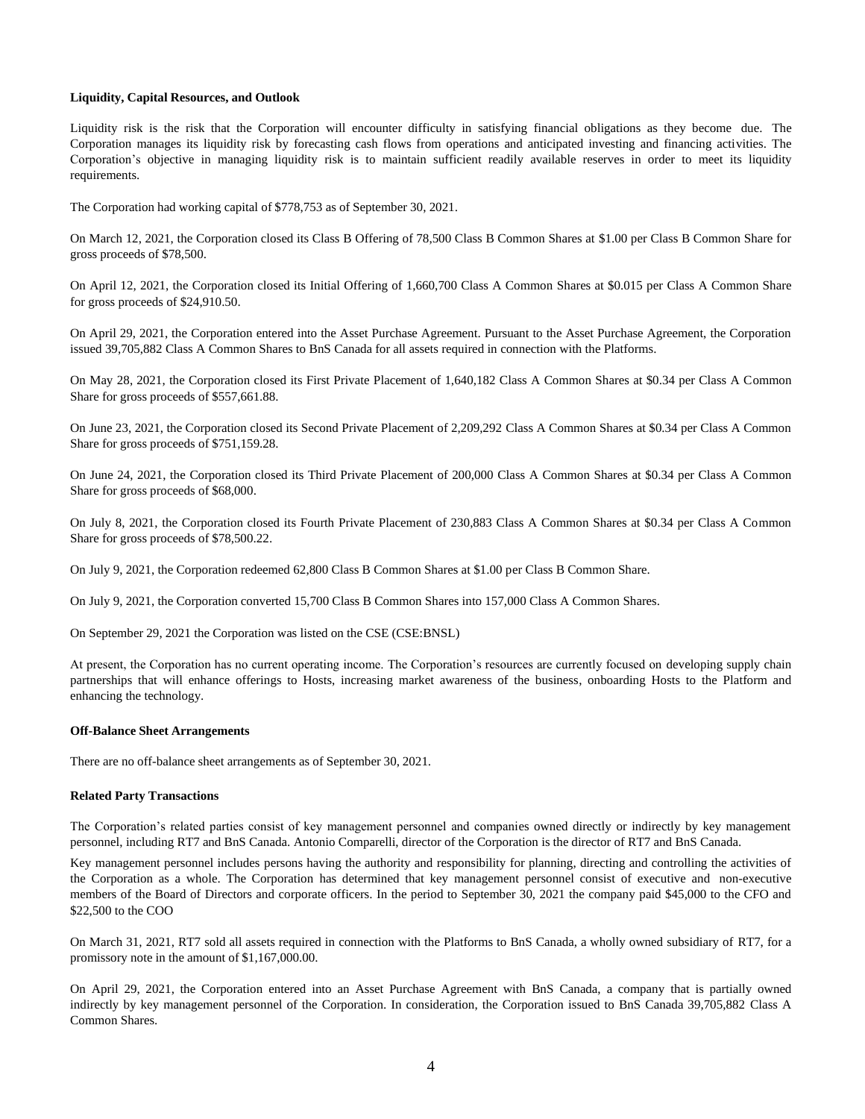## **Liquidity, Capital Resources, and Outlook**

Liquidity risk is the risk that the Corporation will encounter difficulty in satisfying financial obligations as they become due. The Corporation manages its liquidity risk by forecasting cash flows from operations and anticipated investing and financing activities. The Corporation's objective in managing liquidity risk is to maintain sufficient readily available reserves in order to meet its liquidity requirements.

The Corporation had working capital of \$778,753 as of September 30, 2021.

On March 12, 2021, the Corporation closed its Class B Offering of 78,500 Class B Common Shares at \$1.00 per Class B Common Share for gross proceeds of \$78,500.

On April 12, 2021, the Corporation closed its Initial Offering of 1,660,700 Class A Common Shares at \$0.015 per Class A Common Share for gross proceeds of \$24,910.50.

On April 29, 2021, the Corporation entered into the Asset Purchase Agreement. Pursuant to the Asset Purchase Agreement, the Corporation issued 39,705,882 Class A Common Shares to BnS Canada for all assets required in connection with the Platforms.

On May 28, 2021, the Corporation closed its First Private Placement of 1,640,182 Class A Common Shares at \$0.34 per Class A Common Share for gross proceeds of \$557,661.88.

On June 23, 2021, the Corporation closed its Second Private Placement of 2,209,292 Class A Common Shares at \$0.34 per Class A Common Share for gross proceeds of \$751,159.28.

On June 24, 2021, the Corporation closed its Third Private Placement of 200,000 Class A Common Shares at \$0.34 per Class A Common Share for gross proceeds of \$68,000.

On July 8, 2021, the Corporation closed its Fourth Private Placement of 230,883 Class A Common Shares at \$0.34 per Class A Common Share for gross proceeds of \$78,500.22.

On July 9, 2021, the Corporation redeemed 62,800 Class B Common Shares at \$1.00 per Class B Common Share.

On July 9, 2021, the Corporation converted 15,700 Class B Common Shares into 157,000 Class A Common Shares.

On September 29, 2021 the Corporation was listed on the CSE (CSE:BNSL)

At present, the Corporation has no current operating income. The Corporation's resources are currently focused on developing supply chain partnerships that will enhance offerings to Hosts, increasing market awareness of the business, onboarding Hosts to the Platform and enhancing the technology.

## **Off-Balance Sheet Arrangements**

There are no off-balance sheet arrangements as of September 30, 2021.

#### **Related Party Transactions**

The Corporation's related parties consist of key management personnel and companies owned directly or indirectly by key management personnel, including RT7 and BnS Canada. Antonio Comparelli, director of the Corporation is the director of RT7 and BnS Canada.

Key management personnel includes persons having the authority and responsibility for planning, directing and controlling the activities of the Corporation as a whole. The Corporation has determined that key management personnel consist of executive and non-executive members of the Board of Directors and corporate officers. In the period to September 30, 2021 the company paid \$45,000 to the CFO and \$22,500 to the COO

On March 31, 2021, RT7 sold all assets required in connection with the Platforms to BnS Canada, a wholly owned subsidiary of RT7, for a promissory note in the amount of \$1,167,000.00.

On April 29, 2021, the Corporation entered into an Asset Purchase Agreement with BnS Canada, a company that is partially owned indirectly by key management personnel of the Corporation. In consideration, the Corporation issued to BnS Canada 39,705,882 Class A Common Shares.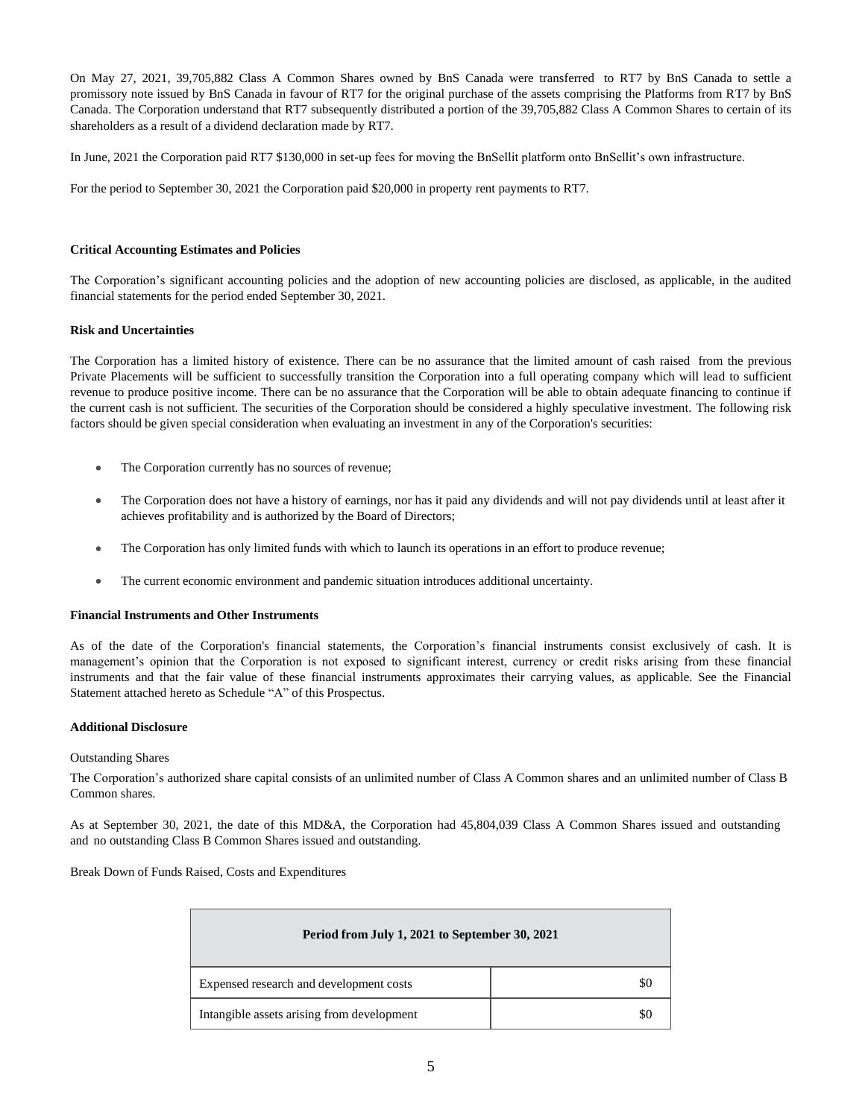On May 27, 2021, 39,705,882 Class A Common Shares owned by BnS Canada were transferred to RT7 by BnS Canada to settle a promissory note issued by BnS Canada in favour of RT7 for the original purchase of the assets comprising the Platforms from RT7 by BnS Canada. The Corporation understand that RT7 subsequently distributed a portion of the 39,705,882 Class A Common Shares to certain of its shareholders as a result of a dividend declaration made by RT7.

In June, 2021 the Corporation paid RT7 \$130,000 in set-up fees for moving the BnSellit platform onto BnSellit's own infrastructure.

For the period to September 30, 2021 the Corporation paid \$20,000 in property rent payments to RT7.

## **Critical Accounting Estimates and Policies**

The Corporation's significant accounting policies and the adoption of new accounting policies are disclosed, as applicable, in the audited financial statements for the period ended September 30, 2021.

## **Risk and Uncertainties**

The Corporation has a limited history of existence. There can be no assurance that the limited amount of cash raised from the previous Private Placements will be sufficient to successfully transition the Corporation into a full operating company which will lead to sufficient revenue to produce positive income. There can be no assurance that the Corporation will be able to obtain adequate financing to continue if the current cash is not sufficient. The securities of the Corporation should be considered a highly speculative investment. The following risk factors should be given special consideration when evaluating an investment in any of the Corporation's securities:

- The Corporation currently has no sources of revenue;  $\bullet$
- The Corporation does not have a history of earnings, nor has it paid any dividends and will not pay dividends until at least after it  $\bullet$ achieves profitability and is authorized by the Board of Directors;
- The Corporation has only limited funds with which to launch its operations in an effort to produce revenue;
- The current economic environment and pandemic situation introduces additional uncertainty.

## **Financial Instruments and Other Instruments**

As of the date of the Corporation's financial statements, the Corporation's financial instruments consist exclusively of cash. It is management's opinion that the Corporation is not exposed to significant interest, currency or credit risks arising from these financial instruments and that the fair value of these financial instruments approximates their carrying values, as applicable. See the Financial Statement attached hereto as Schedule "A" of this Prospectus.

## **Additional Disclosure**

## Outstanding Shares

The Corporation's authorized share capital consists of an unlimited number of Class A Common shares and an unlimited number of Class B Common shares.

As at September 30, 2021, the date of this MD&A, the Corporation had 45,804,039 Class A Common Shares issued and outstanding and no outstanding Class B Common Shares issued and outstanding.

Break Down of Funds Raised, Costs and Expenditures

| Period from July 1, 2021 to September 30, 2021 |  |  |
|------------------------------------------------|--|--|
| Expensed research and development costs        |  |  |
| Intangible assets arising from development     |  |  |